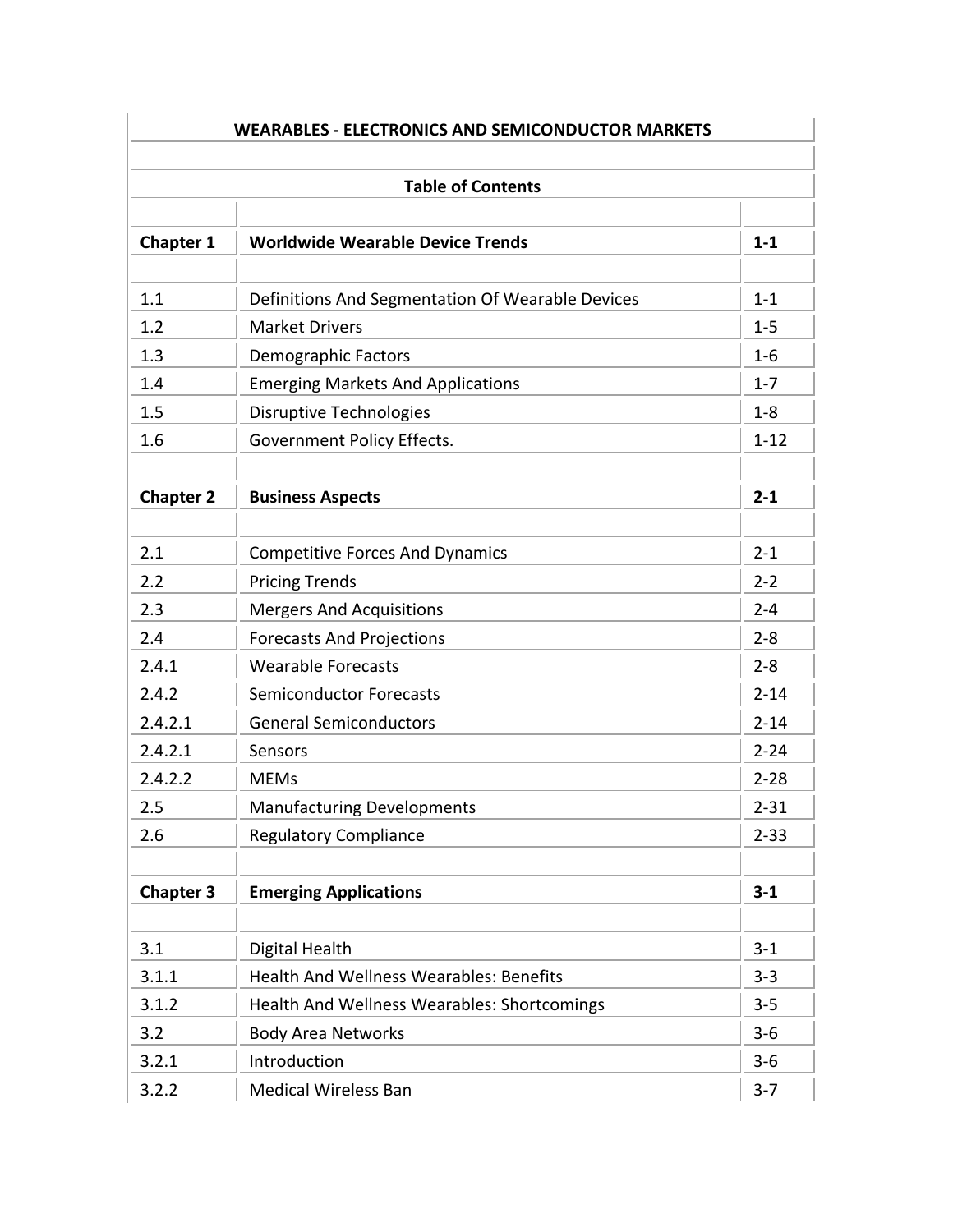| <b>Table of Contents</b> |                                                    |          |  |
|--------------------------|----------------------------------------------------|----------|--|
| <b>Chapter 1</b>         | <b>Worldwide Wearable Device Trends</b>            | $1 - 1$  |  |
| 1.1                      | Definitions And Segmentation Of Wearable Devices   | $1 - 1$  |  |
| 1.2                      | <b>Market Drivers</b>                              | $1 - 5$  |  |
| 1.3                      | <b>Demographic Factors</b>                         | $1-6$    |  |
| 1.4                      | <b>Emerging Markets And Applications</b>           | $1 - 7$  |  |
| 1.5                      | <b>Disruptive Technologies</b>                     | $1 - 8$  |  |
| 1.6                      | <b>Government Policy Effects.</b>                  | $1 - 12$ |  |
| <b>Chapter 2</b>         | <b>Business Aspects</b>                            | $2 - 1$  |  |
| 2.1                      | <b>Competitive Forces And Dynamics</b>             | $2 - 1$  |  |
| 2.2                      | <b>Pricing Trends</b>                              | $2 - 2$  |  |
| 2.3                      | <b>Mergers And Acquisitions</b>                    | $2 - 4$  |  |
| 2.4                      | <b>Forecasts And Projections</b>                   | $2 - 8$  |  |
| 2.4.1                    | <b>Wearable Forecasts</b>                          | $2 - 8$  |  |
| 2.4.2                    | <b>Semiconductor Forecasts</b>                     | $2 - 14$ |  |
| 2.4.2.1                  | <b>General Semiconductors</b>                      | $2 - 14$ |  |
| 2.4.2.1                  | Sensors                                            | $2 - 24$ |  |
| 2.4.2.2                  | <b>MEMs</b>                                        | $2 - 28$ |  |
| 2.5                      | <b>Manufacturing Developments</b>                  | $2 - 31$ |  |
| 2.6                      | <b>Regulatory Compliance</b>                       | $2 - 33$ |  |
| <b>Chapter 3</b>         | <b>Emerging Applications</b>                       | $3 - 1$  |  |
| 3.1                      | Digital Health                                     | $3 - 1$  |  |
| 3.1.1                    | <b>Health And Wellness Wearables: Benefits</b>     | $3 - 3$  |  |
| 3.1.2                    | <b>Health And Wellness Wearables: Shortcomings</b> | $3 - 5$  |  |
| 3.2                      | <b>Body Area Networks</b>                          | $3-6$    |  |
| 3.2.1                    | Introduction                                       | $3-6$    |  |
| 3.2.2                    | <b>Medical Wireless Ban</b>                        | $3 - 7$  |  |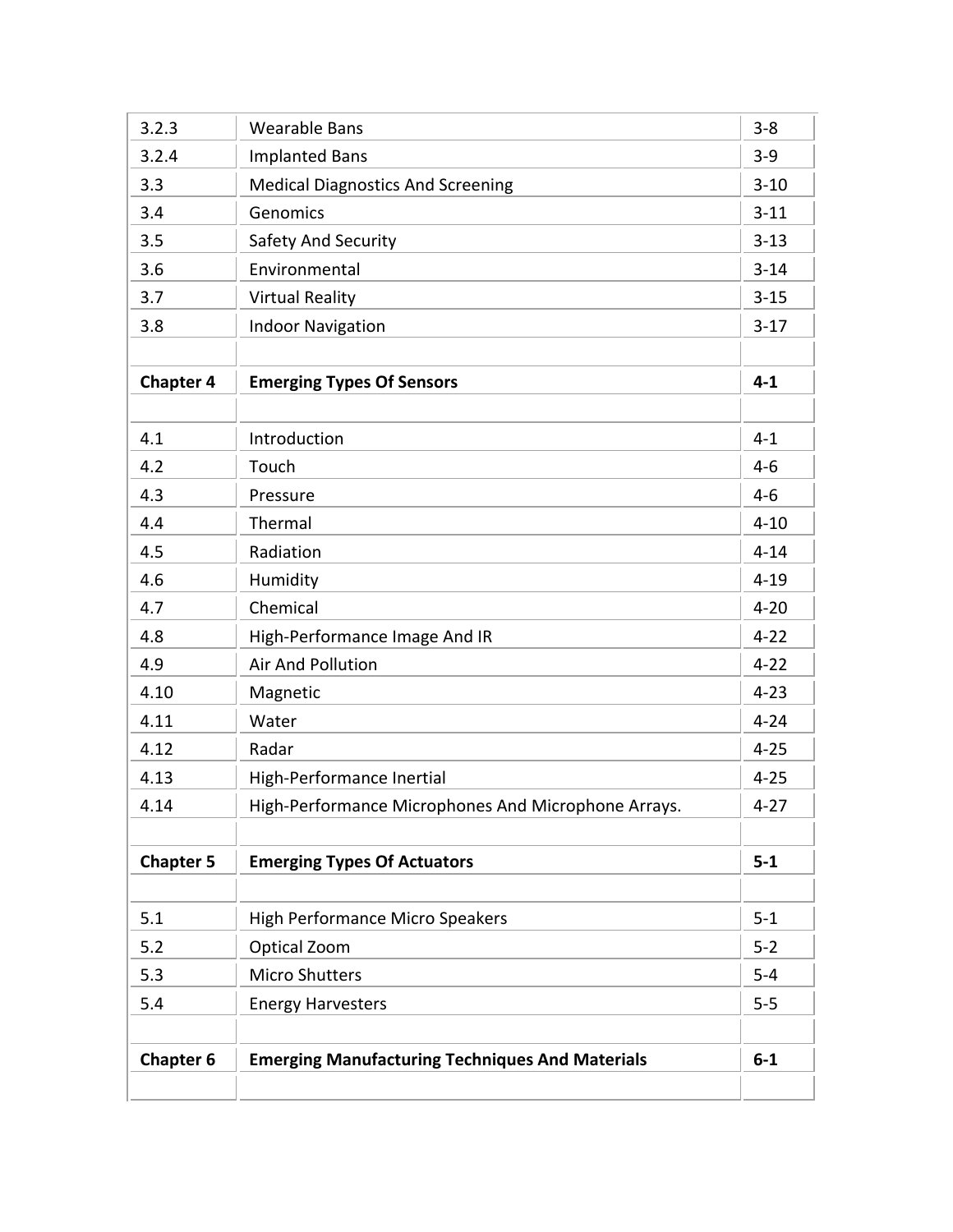| 3.2.3            | <b>Wearable Bans</b>                                   | $3 - 8$  |
|------------------|--------------------------------------------------------|----------|
| 3.2.4            | <b>Implanted Bans</b>                                  | $3 - 9$  |
| 3.3              | <b>Medical Diagnostics And Screening</b>               | $3 - 10$ |
| 3.4              | Genomics                                               | $3 - 11$ |
| 3.5              | Safety And Security                                    | $3 - 13$ |
| 3.6              | Environmental                                          | $3 - 14$ |
| 3.7              | <b>Virtual Reality</b>                                 | $3 - 15$ |
| 3.8              | <b>Indoor Navigation</b>                               | $3 - 17$ |
|                  |                                                        |          |
| <b>Chapter 4</b> | <b>Emerging Types Of Sensors</b>                       | $4 - 1$  |
|                  |                                                        |          |
| 4.1              | Introduction                                           | $4 - 1$  |
| 4.2              | Touch                                                  | $4 - 6$  |
| 4.3              | Pressure                                               | $4 - 6$  |
| 4.4              | Thermal                                                | $4 - 10$ |
| 4.5              | Radiation                                              | $4 - 14$ |
| 4.6              | Humidity                                               | $4 - 19$ |
| 4.7              | Chemical                                               | $4 - 20$ |
| 4.8              | High-Performance Image And IR                          | $4 - 22$ |
| 4.9              | <b>Air And Pollution</b>                               | $4 - 22$ |
| 4.10             | Magnetic                                               | $4 - 23$ |
| 4.11             | Water                                                  | $4 - 24$ |
| 4.12             | Radar                                                  | $4 - 25$ |
| 4.13             | High-Performance Inertial                              | $4 - 25$ |
| 4.14             | High-Performance Microphones And Microphone Arrays.    | $4 - 27$ |
|                  |                                                        |          |
| <b>Chapter 5</b> | <b>Emerging Types Of Actuators</b>                     | $5-1$    |
| 5.1              | <b>High Performance Micro Speakers</b>                 | $5 - 1$  |
| 5.2              | Optical Zoom                                           | $5 - 2$  |
| 5.3              | <b>Micro Shutters</b>                                  | $5-4$    |
| 5.4              | <b>Energy Harvesters</b>                               | $5-5$    |
|                  |                                                        |          |
| <b>Chapter 6</b> | <b>Emerging Manufacturing Techniques And Materials</b> | $6 - 1$  |
|                  |                                                        |          |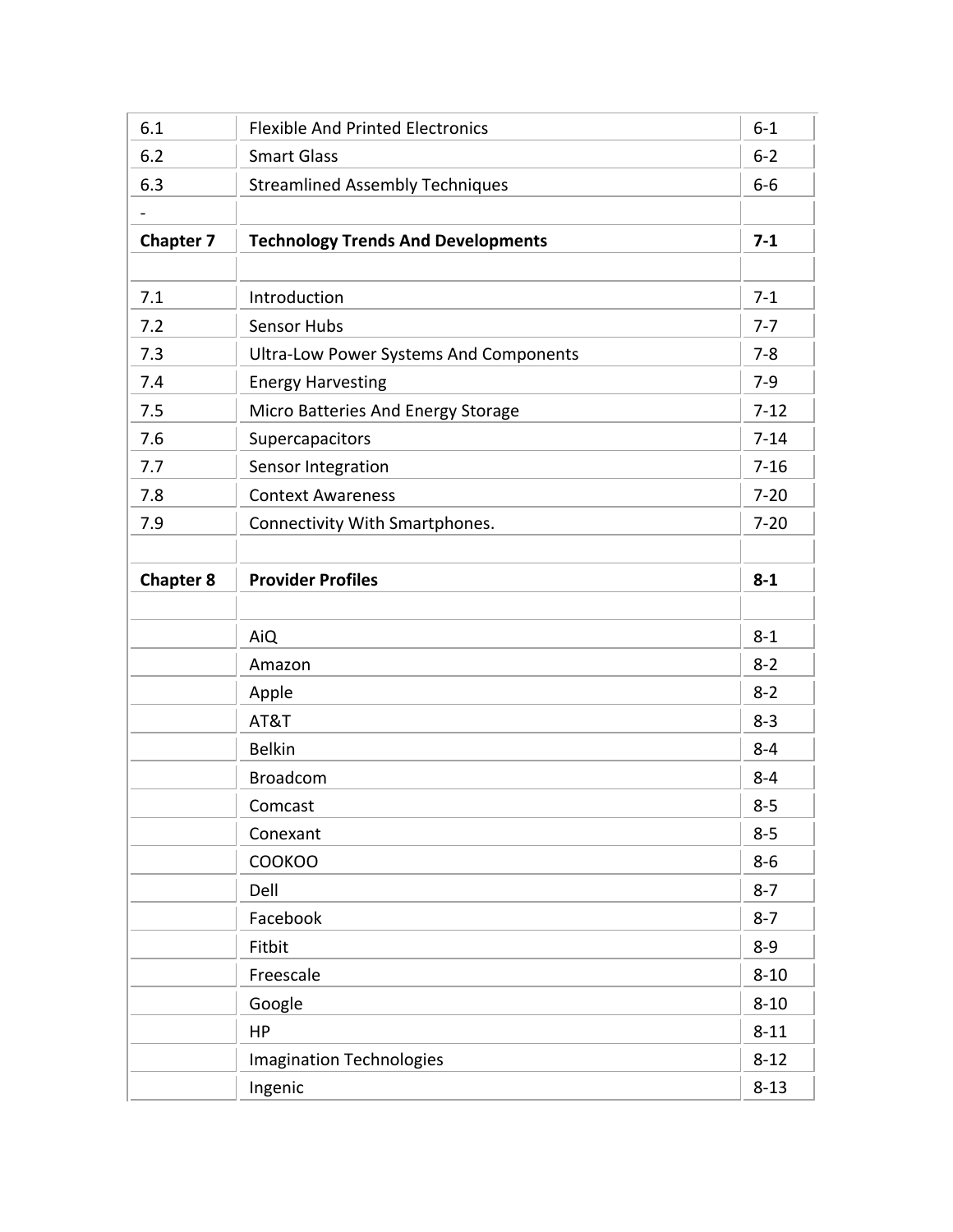| 6.1              | <b>Flexible And Printed Electronics</b>       | $6-1$    |
|------------------|-----------------------------------------------|----------|
| 6.2              | <b>Smart Glass</b>                            | $6 - 2$  |
| 6.3              | <b>Streamlined Assembly Techniques</b>        | $6-6$    |
|                  |                                               |          |
| <b>Chapter 7</b> | <b>Technology Trends And Developments</b>     | $7 - 1$  |
|                  |                                               |          |
| 7.1              | Introduction                                  | $7-1$    |
| 7.2              | <b>Sensor Hubs</b>                            | $7 - 7$  |
| 7.3              | <b>Ultra-Low Power Systems And Components</b> | $7 - 8$  |
| 7.4              | <b>Energy Harvesting</b>                      | $7-9$    |
| 7.5              | Micro Batteries And Energy Storage            | $7 - 12$ |
| 7.6              | Supercapacitors                               | $7 - 14$ |
| 7.7              | Sensor Integration                            | $7 - 16$ |
| 7.8              | <b>Context Awareness</b>                      | $7 - 20$ |
| 7.9              | Connectivity With Smartphones.                | $7 - 20$ |
|                  |                                               |          |
| <b>Chapter 8</b> | <b>Provider Profiles</b>                      | $8 - 1$  |
|                  |                                               |          |
|                  | AiQ                                           | $8 - 1$  |
|                  | Amazon                                        | $8 - 2$  |
|                  | Apple                                         | $8 - 2$  |
|                  | AT&T                                          | $8 - 3$  |
|                  | <b>Belkin</b>                                 | $8 - 4$  |
|                  | <b>Broadcom</b>                               | $8 - 4$  |
|                  | Comcast                                       | $8 - 5$  |
|                  | Conexant                                      | $8 - 5$  |
|                  | <b>COOKOO</b>                                 | $8-6$    |
|                  | Dell                                          | $8 - 7$  |
|                  | Facebook                                      | $8 - 7$  |
|                  | Fitbit                                        | $8 - 9$  |
|                  | Freescale                                     | $8 - 10$ |
|                  | Google                                        | $8 - 10$ |
|                  | HP                                            | $8 - 11$ |
|                  | <b>Imagination Technologies</b>               | $8 - 12$ |
|                  | Ingenic                                       | $8 - 13$ |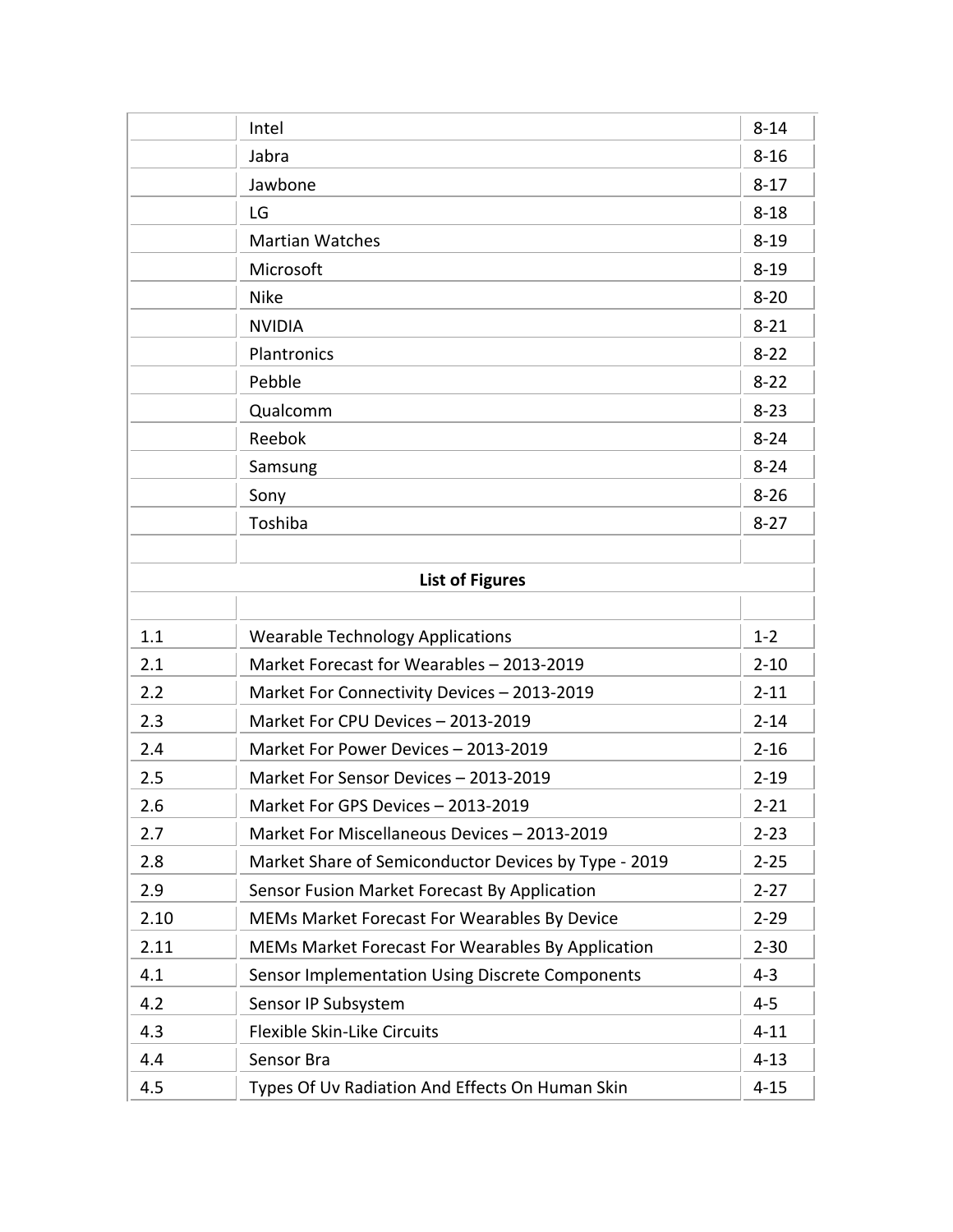|      | Intel                                                | $8 - 14$ |
|------|------------------------------------------------------|----------|
|      | Jabra                                                | $8 - 16$ |
|      | Jawbone                                              | $8 - 17$ |
|      | LG                                                   | $8 - 18$ |
|      | <b>Martian Watches</b>                               | $8 - 19$ |
|      | Microsoft                                            | $8 - 19$ |
|      | <b>Nike</b>                                          | $8 - 20$ |
|      | <b>NVIDIA</b>                                        | $8 - 21$ |
|      | Plantronics                                          | $8 - 22$ |
|      | Pebble                                               | $8 - 22$ |
|      | Qualcomm                                             | $8 - 23$ |
|      | Reebok                                               | $8 - 24$ |
|      | Samsung                                              | $8 - 24$ |
|      | Sony                                                 | $8 - 26$ |
|      | Toshiba                                              | $8 - 27$ |
|      |                                                      |          |
|      | <b>List of Figures</b>                               |          |
|      |                                                      |          |
| 1.1  | <b>Wearable Technology Applications</b>              | $1 - 2$  |
| 2.1  | Market Forecast for Wearables - 2013-2019            | $2 - 10$ |
| 2.2  | Market For Connectivity Devices - 2013-2019          | $2 - 11$ |
| 2.3  | Market For CPU Devices - 2013-2019                   | $2 - 14$ |
| 2.4  | Market For Power Devices - 2013-2019                 | $2 - 16$ |
| 2.5  | Market For Sensor Devices - 2013-2019                | $2 - 19$ |
| 2.6  | Market For GPS Devices - 2013-2019                   | $2 - 21$ |
| 2.7  | Market For Miscellaneous Devices - 2013-2019         | $2 - 23$ |
| 2.8  | Market Share of Semiconductor Devices by Type - 2019 | $2 - 25$ |
| 2.9  | Sensor Fusion Market Forecast By Application         | $2 - 27$ |
| 2.10 | MEMs Market Forecast For Wearables By Device         | $2 - 29$ |
| 2.11 | MEMs Market Forecast For Wearables By Application    | $2 - 30$ |
| 4.1  | Sensor Implementation Using Discrete Components      | $4 - 3$  |
| 4.2  | Sensor IP Subsystem                                  | $4 - 5$  |
| 4.3  | Flexible Skin-Like Circuits                          | $4 - 11$ |
| 4.4  | Sensor Bra                                           | $4 - 13$ |
| 4.5  | Types Of Uv Radiation And Effects On Human Skin      | $4 - 15$ |